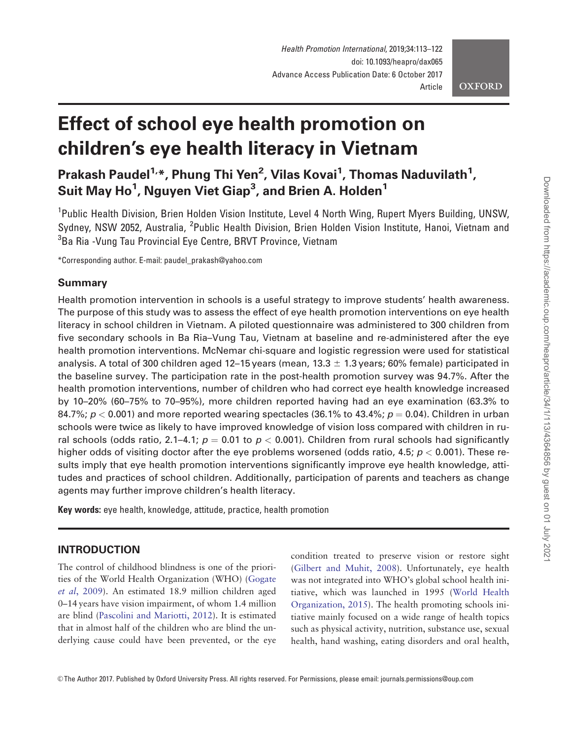# Effect of school eye health promotion on children's eye health literacy in Vietnam

Prakash Paudel<sup>1,</sup>\*, Phung Thi Yen<sup>2</sup>, Vilas Kovai<sup>1</sup>, Thomas Naduvilath<sup>1</sup>, Suit May Ho $^1$ , Nguyen Viet Giap $^3$ , and Brien A. Holden $^1$ 

<sup>1</sup>Public Health Division, Brien Holden Vision Institute, Level 4 North Wing, Rupert Myers Building, UNSW, Sydney, NSW 2052, Australia, <sup>2</sup>Public Health Division, Brien Holden Vision Institute, Hanoi, Vietnam and <sup>3</sup>Ba Ria -Vung Tau Provincial Eye Centre, BRVT Province, Vietnam

\*Corresponding author. E-mail: paudel\_prakash@yahoo.com

## Summary

Health promotion intervention in schools is a useful strategy to improve students' health awareness. The purpose of this study was to assess the effect of eye health promotion interventions on eye health literacy in school children in Vietnam. A piloted questionnaire was administered to 300 children from five secondary schools in Ba Ria–Vung Tau, Vietnam at baseline and re-administered after the eye health promotion interventions. McNemar chi-square and logistic regression were used for statistical analysis. A total of 300 children aged 12–15 years (mean, 13.3  $\pm$  1.3 years; 60% female) participated in the baseline survey. The participation rate in the post-health promotion survey was 94.7%. After the health promotion interventions, number of children who had correct eye health knowledge increased by 10–20% (60–75% to 70–95%), more children reported having had an eye examination (63.3% to 84.7%;  $p < 0.001$ ) and more reported wearing spectacles (36.1% to 43.4%;  $p = 0.04$ ). Children in urban schools were twice as likely to have improved knowledge of vision loss compared with children in rural schools (odds ratio, 2.1–4.1;  $p = 0.01$  to  $p < 0.001$ ). Children from rural schools had significantly higher odds of visiting doctor after the eye problems worsened (odds ratio, 4.5;  $p < 0.001$ ). These results imply that eye health promotion interventions significantly improve eye health knowledge, attitudes and practices of school children. Additionally, participation of parents and teachers as change agents may further improve children's health literacy.

Key words: eye health, knowledge, attitude, practice, health promotion

# INTRODUCTION

The control of childhood blindness is one of the priorities of the World Health Organization (WHO) [\(Gogate](#page-8-0) et al[, 2009\)](#page-8-0). An estimated 18.9 million children aged 0–14 years have vision impairment, of whom 1.4 million are blind [\(Pascolini and Mariotti, 2012\)](#page-9-0). It is estimated that in almost half of the children who are blind the underlying cause could have been prevented, or the eye

condition treated to preserve vision or restore sight [\(Gilbert and Muhit, 2008](#page-8-0)). Unfortunately, eye health was not integrated into WHO's global school health initiative, which was launched in 1995 [\(World Health](#page-9-0) [Organization, 2015](#page-9-0)). The health promoting schools initiative mainly focused on a wide range of health topics such as physical activity, nutrition, substance use, sexual health, hand washing, eating disorders and oral health,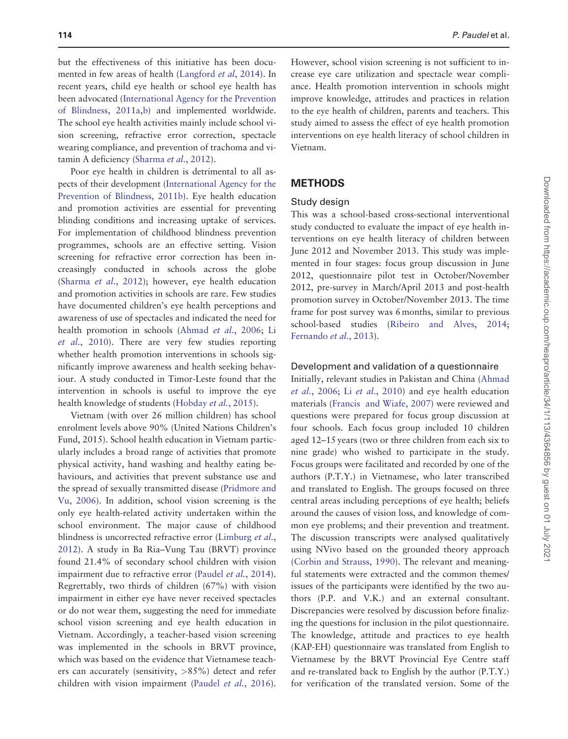but the effectiveness of this initiative has been docu-mented in few areas of health [\(Langford](#page-8-0) et al, 2014). In recent years, child eye health or school eye health has been advocated [\(International Agency for the Prevention](#page-8-0) [of Blindness, 2011a](#page-8-0),[b\)](#page-8-0) and implemented worldwide. The school eye health activities mainly include school vision screening, refractive error correction, spectacle wearing compliance, and prevention of trachoma and vitamin A deficiency ([Sharma](#page-9-0) et al., 2012).

Poor eye health in children is detrimental to all aspects of their development ([International Agency for the](#page-8-0) [Prevention of Blindness, 2011b\)](#page-8-0). Eye health education and promotion activities are essential for preventing blinding conditions and increasing uptake of services. For implementation of childhood blindness prevention programmes, schools are an effective setting. Vision screening for refractive error correction has been increasingly conducted in schools across the globe [\(Sharma](#page-9-0) et al., 2012); however, eye health education and promotion activities in schools are rare. Few studies have documented children's eye health perceptions and awareness of use of spectacles and indicated the need for health promotion in schools [\(Ahmad](#page-8-0) et al., 2006; [Li](#page-8-0) et al.[, 2010](#page-8-0)). There are very few studies reporting whether health promotion interventions in schools significantly improve awareness and health seeking behaviour. A study conducted in Timor-Leste found that the intervention in schools is useful to improve the eye health knowledge of students ([Hobday](#page-8-0) et al., 2015).

Vietnam (with over 26 million children) has school enrolment levels above 90% (United Nations Children's Fund, 2015). School health education in Vietnam particularly includes a broad range of activities that promote physical activity, hand washing and healthy eating behaviours, and activities that prevent substance use and the spread of sexually transmitted disease ([Pridmore and](#page-9-0) [Vu, 2006\)](#page-9-0). In addition, school vision screening is the only eye health-related activity undertaken within the school environment. The major cause of childhood blindness is uncorrected refractive error ([Limburg](#page-8-0) et al., [2012](#page-8-0)). A study in Ba Ria–Vung Tau (BRVT) province found 21.4% of secondary school children with vision impairment due to refractive error [\(Paudel](#page-9-0) et al., 2014). Regrettably, two thirds of children (67%) with vision impairment in either eye have never received spectacles or do not wear them, suggesting the need for immediate school vision screening and eye health education in Vietnam. Accordingly, a teacher-based vision screening was implemented in the schools in BRVT province, which was based on the evidence that Vietnamese teachers can accurately (sensitivity, >85%) detect and refer children with vision impairment (Paudel et al.[, 2016](#page-9-0)).

However, school vision screening is not sufficient to increase eye care utilization and spectacle wear compliance. Health promotion intervention in schools might improve knowledge, attitudes and practices in relation to the eye health of children, parents and teachers. This study aimed to assess the effect of eye health promotion interventions on eye health literacy of school children in Vietnam.

# **METHODS**

#### Study design

This was a school-based cross-sectional interventional study conducted to evaluate the impact of eye health interventions on eye health literacy of children between June 2012 and November 2013. This study was implemented in four stages: focus group discussion in June 2012, questionnaire pilot test in October/November 2012, pre-survey in March/April 2013 and post-health promotion survey in October/November 2013. The time frame for post survey was 6 months, similar to previous school-based studies [\(Ribeiro and Alves, 2014](#page-9-0); [Fernando](#page-8-0) et al., 2013).

## Development and validation of a questionnaire

Initially, relevant studies in Pakistan and China ([Ahmad](#page-8-0) et al.[, 2006;](#page-8-0) Li et al.[, 2010\)](#page-8-0) and eye health education materials ([Francis and Wiafe, 2007](#page-8-0)) were reviewed and questions were prepared for focus group discussion at four schools. Each focus group included 10 children aged 12–15 years (two or three children from each six to nine grade) who wished to participate in the study. Focus groups were facilitated and recorded by one of the authors (P.T.Y.) in Vietnamese, who later transcribed and translated to English. The groups focused on three central areas including perceptions of eye health; beliefs around the causes of vision loss, and knowledge of common eye problems; and their prevention and treatment. The discussion transcripts were analysed qualitatively using NVivo based on the grounded theory approach [\(Corbin and Strauss, 1990\)](#page-8-0). The relevant and meaningful statements were extracted and the common themes/ issues of the participants were identified by the two authors (P.P. and V.K.) and an external consultant. Discrepancies were resolved by discussion before finalizing the questions for inclusion in the pilot questionnaire. The knowledge, attitude and practices to eye health (KAP-EH) questionnaire was translated from English to Vietnamese by the BRVT Provincial Eye Centre staff and re-translated back to English by the author (P.T.Y.) for verification of the translated version. Some of the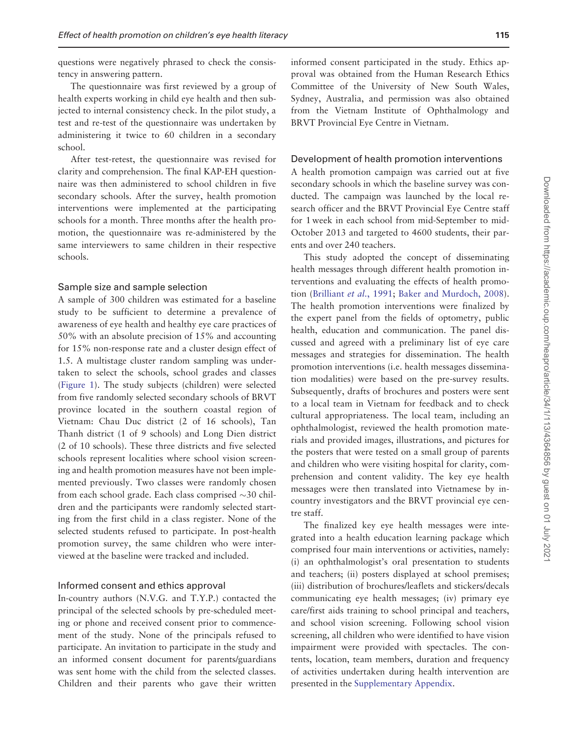questions were negatively phrased to check the consistency in answering pattern.

The questionnaire was first reviewed by a group of health experts working in child eye health and then subjected to internal consistency check. In the pilot study, a test and re-test of the questionnaire was undertaken by administering it twice to 60 children in a secondary school.

After test-retest, the questionnaire was revised for clarity and comprehension. The final KAP-EH questionnaire was then administered to school children in five secondary schools. After the survey, health promotion interventions were implemented at the participating schools for a month. Three months after the health promotion, the questionnaire was re-administered by the same interviewers to same children in their respective schools.

#### Sample size and sample selection

A sample of 300 children was estimated for a baseline study to be sufficient to determine a prevalence of awareness of eye health and healthy eye care practices of 50% with an absolute precision of 15% and accounting for 15% non-response rate and a cluster design effect of 1.5. A multistage cluster random sampling was undertaken to select the schools, school grades and classes [\(Figure 1](#page-3-0)). The study subjects (children) were selected from five randomly selected secondary schools of BRVT province located in the southern coastal region of Vietnam: Chau Duc district (2 of 16 schools), Tan Thanh district (1 of 9 schools) and Long Dien district (2 of 10 schools). These three districts and five selected schools represent localities where school vision screening and health promotion measures have not been implemented previously. Two classes were randomly chosen from each school grade. Each class comprised  $\sim$ 30 children and the participants were randomly selected starting from the first child in a class register. None of the selected students refused to participate. In post-health promotion survey, the same children who were interviewed at the baseline were tracked and included.

#### Informed consent and ethics approval

In-country authors (N.V.G. and T.Y.P.) contacted the principal of the selected schools by pre-scheduled meeting or phone and received consent prior to commencement of the study. None of the principals refused to participate. An invitation to participate in the study and an informed consent document for parents/guardians was sent home with the child from the selected classes. Children and their parents who gave their written

informed consent participated in the study. Ethics approval was obtained from the Human Research Ethics Committee of the University of New South Wales, Sydney, Australia, and permission was also obtained from the Vietnam Institute of Ophthalmology and BRVT Provincial Eye Centre in Vietnam.

#### Development of health promotion interventions

A health promotion campaign was carried out at five secondary schools in which the baseline survey was conducted. The campaign was launched by the local research officer and the BRVT Provincial Eye Centre staff for 1 week in each school from mid-September to mid-October 2013 and targeted to 4600 students, their parents and over 240 teachers.

This study adopted the concept of disseminating health messages through different health promotion interventions and evaluating the effects of health promo-tion [\(Brilliant](#page-8-0) et al., 1991; [Baker and Murdoch, 2008](#page-8-0)). The health promotion interventions were finalized by the expert panel from the fields of optometry, public health, education and communication. The panel discussed and agreed with a preliminary list of eye care messages and strategies for dissemination. The health promotion interventions (i.e. health messages dissemination modalities) were based on the pre-survey results. Subsequently, drafts of brochures and posters were sent to a local team in Vietnam for feedback and to check cultural appropriateness. The local team, including an ophthalmologist, reviewed the health promotion materials and provided images, illustrations, and pictures for the posters that were tested on a small group of parents and children who were visiting hospital for clarity, comprehension and content validity. The key eye health messages were then translated into Vietnamese by incountry investigators and the BRVT provincial eye centre staff.

The finalized key eye health messages were integrated into a health education learning package which comprised four main interventions or activities, namely: (i) an ophthalmologist's oral presentation to students and teachers; (ii) posters displayed at school premises; (iii) distribution of brochures/leaflets and stickers/decals communicating eye health messages; (iv) primary eye care/first aids training to school principal and teachers, and school vision screening. Following school vision screening, all children who were identified to have vision impairment were provided with spectacles. The contents, location, team members, duration and frequency of activities undertaken during health intervention are presented in the [Supplementary Appendix.](https://academic.oup.com/heapro/article-lookup/doi/10.1093/heapro/dax065#supplementary-data)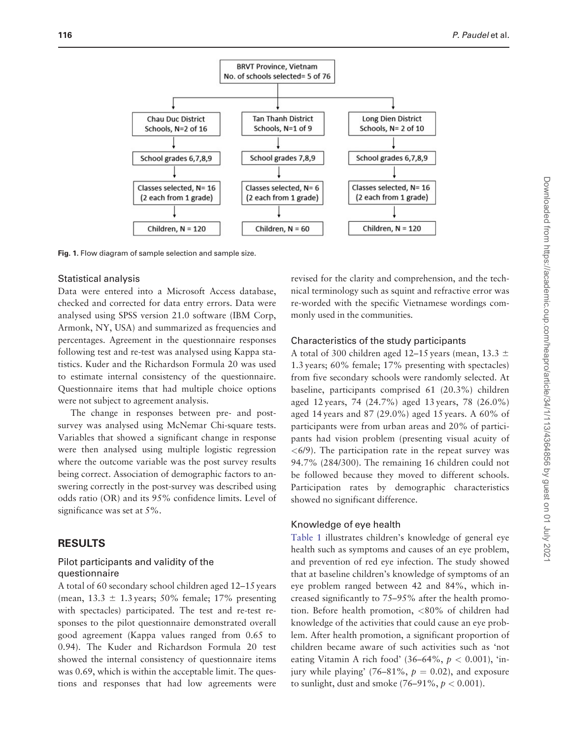<span id="page-3-0"></span>

Fig. 1. Flow diagram of sample selection and sample size.

#### Statistical analysis

Data were entered into a Microsoft Access database, checked and corrected for data entry errors. Data were analysed using SPSS version 21.0 software (IBM Corp, Armonk, NY, USA) and summarized as frequencies and percentages. Agreement in the questionnaire responses following test and re-test was analysed using Kappa statistics. Kuder and the Richardson Formula 20 was used to estimate internal consistency of the questionnaire. Questionnaire items that had multiple choice options were not subject to agreement analysis.

The change in responses between pre- and postsurvey was analysed using McNemar Chi-square tests. Variables that showed a significant change in response were then analysed using multiple logistic regression where the outcome variable was the post survey results being correct. Association of demographic factors to answering correctly in the post-survey was described using odds ratio (OR) and its 95% confidence limits. Level of significance was set at 5%.

## RESULTS

## Pilot participants and validity of the questionnaire

A total of 60 secondary school children aged 12–15 years (mean,  $13.3 \pm 1.3$  years;  $50\%$  female;  $17\%$  presenting with spectacles) participated. The test and re-test responses to the pilot questionnaire demonstrated overall good agreement (Kappa values ranged from 0.65 to 0.94). The Kuder and Richardson Formula 20 test showed the internal consistency of questionnaire items was 0.69, which is within the acceptable limit. The questions and responses that had low agreements were

revised for the clarity and comprehension, and the technical terminology such as squint and refractive error was re-worded with the specific Vietnamese wordings commonly used in the communities.

### Characteristics of the study participants

A total of 300 children aged 12–15 years (mean, 13.3  $\pm$ 1.3 years; 60% female; 17% presenting with spectacles) from five secondary schools were randomly selected. At baseline, participants comprised 61 (20.3%) children aged 12 years, 74 (24.7%) aged 13 years, 78 (26.0%) aged 14 years and 87 (29.0%) aged 15 years. A 60% of participants were from urban areas and 20% of participants had vision problem (presenting visual acuity of  $\langle 6/9 \rangle$ . The participation rate in the repeat survey was 94.7% (284/300). The remaining 16 children could not be followed because they moved to different schools. Participation rates by demographic characteristics showed no significant difference.

# Knowledge of eye health

[Table 1](#page-4-0) illustrates children's knowledge of general eye health such as symptoms and causes of an eye problem, and prevention of red eye infection. The study showed that at baseline children's knowledge of symptoms of an eye problem ranged between 42 and 84%, which increased significantly to 75–95% after the health promotion. Before health promotion, <80% of children had knowledge of the activities that could cause an eye problem. After health promotion, a significant proportion of children became aware of such activities such as 'not eating Vitamin A rich food' (36–64%,  $p < 0.001$ ), 'injury while playing' (76–81%,  $p = 0.02$ ), and exposure to sunlight, dust and smoke  $(76-91\%, p < 0.001)$ .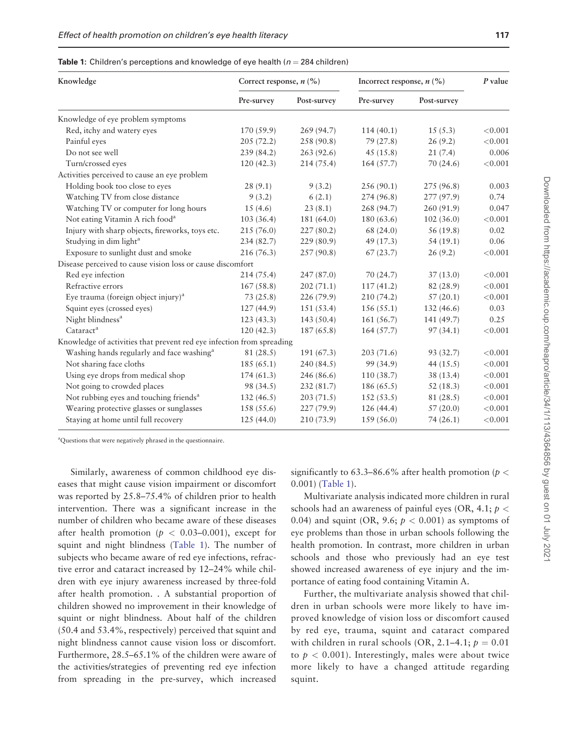<span id="page-4-0"></span>Table 1: Children's perceptions and knowledge of eye health ( $n = 284$  children)

| Knowledge                                                             | Correct response, $n$ (%) |             | Incorrect response, $n$ (%) |             | P value |
|-----------------------------------------------------------------------|---------------------------|-------------|-----------------------------|-------------|---------|
|                                                                       | Pre-survey                | Post-survey | Pre-survey                  | Post-survey |         |
| Knowledge of eye problem symptoms                                     |                           |             |                             |             |         |
| Red, itchy and watery eyes                                            | 170 (59.9)                | 269 (94.7)  | 114(40.1)                   | 15(5.3)     | < 0.001 |
| Painful eyes                                                          | 205(72.2)                 | 258 (90.8)  | 79 (27.8)                   | 26(9.2)     | < 0.001 |
| Do not see well                                                       | 239 (84.2)                | 263(92.6)   | 45(15.8)                    | 21(7.4)     | 0.006   |
| Turn/crossed eyes                                                     | 120(42.3)                 | 214 (75.4)  | 164(57.7)                   | 70(24.6)    | < 0.001 |
| Activities perceived to cause an eye problem                          |                           |             |                             |             |         |
| Holding book too close to eyes                                        | 28(9.1)                   | 9(3.2)      | 256(90.1)                   | 275 (96.8)  | 0.003   |
| Watching TV from close distance                                       | 9(3.2)                    | 6(2.1)      | 274 (96.8)                  | 277 (97.9)  | 0.74    |
| Watching TV or computer for long hours                                | 15(4.6)                   | 23(8.1)     | 268 (94.7)                  | 260 (91.9)  | 0.047   |
| Not eating Vitamin A rich food <sup>a</sup>                           | 103 (36.4)                | 181 (64.0)  | 180 (63.6)                  | 102(36.0)   | < 0.001 |
| Injury with sharp objects, fireworks, toys etc.                       | 215(76.0)                 | 227(80.2)   | 68 (24.0)                   | 56 (19.8)   | 0.02    |
| Studying in dim light <sup>a</sup>                                    | 234 (82.7)                | 229(80.9)   | 49 (17.3)                   | 54(19.1)    | 0.06    |
| Exposure to sunlight dust and smoke                                   | 216(76.3)                 | 257(90.8)   | 67(23.7)                    | 26(9.2)     | < 0.001 |
| Disease perceived to cause vision loss or cause discomfort            |                           |             |                             |             |         |
| Red eve infection                                                     | 214(75.4)                 | 247(87.0)   | 70(24.7)                    | 37(13.0)    | < 0.001 |
| Refractive errors                                                     | 167(58.8)                 | 202(71.1)   | 117(41.2)                   | 82 (28.9)   | < 0.001 |
| Eye trauma (foreign object injury) <sup>a</sup>                       | 73(25.8)                  | 226(79.9)   | 210(74.2)                   | 57(20.1)    | < 0.001 |
| Squint eyes (crossed eyes)                                            | 127 (44.9)                | 151(53.4)   | 156(55.1)                   | 132(46.6)   | 0.03    |
| Night blindness <sup>a</sup>                                          | 123(43.3)                 | 143 (50.4)  | 161(56.7)                   | 141 (49.7)  | 0.25    |
| Cataract <sup>a</sup>                                                 | 120(42.3)                 | 187 (65.8)  | 164(57.7)                   | 97(34.1)    | < 0.001 |
| Knowledge of activities that prevent red eye infection from spreading |                           |             |                             |             |         |
| Washing hands regularly and face washing <sup>a</sup>                 | 81 (28.5)                 | 191(67.3)   | 203(71.6)                   | 93 (32.7)   | < 0.001 |
| Not sharing face cloths                                               | 185 (65.1)                | 240 (84.5)  | 99 (34.9)                   | 44 $(15.5)$ | < 0.001 |
| Using eye drops from medical shop                                     | 174(61.3)                 | 246 (86.6)  | 110 (38.7)                  | 38 (13.4)   | < 0.001 |
| Not going to crowded places                                           | 98 (34.5)                 | 232 (81.7)  | 186 (65.5)                  | 52(18.3)    | < 0.001 |
| Not rubbing eyes and touching friends <sup>a</sup>                    | 132(46.5)                 | 203(71.5)   | 152(53.5)                   | 81 (28.5)   | < 0.001 |
| Wearing protective glasses or sunglasses                              | 158 (55.6)                | 227(79.9)   | 126(44.4)                   | 57(20.0)    | < 0.001 |
| Staying at home until full recovery                                   | 125(44.0)                 | 210 (73.9)  | 159(56.0)                   | 74 (26.1)   | < 0.001 |

a Questions that were negatively phrased in the questionnaire.

Similarly, awareness of common childhood eye diseases that might cause vision impairment or discomfort was reported by 25.8–75.4% of children prior to health intervention. There was a significant increase in the number of children who became aware of these diseases after health promotion ( $p < 0.03{\text -}0.001$ ), except for squint and night blindness (Table 1). The number of subjects who became aware of red eye infections, refractive error and cataract increased by 12–24% while children with eye injury awareness increased by three-fold after health promotion. . A substantial proportion of children showed no improvement in their knowledge of squint or night blindness. About half of the children (50.4 and 53.4%, respectively) perceived that squint and night blindness cannot cause vision loss or discomfort. Furthermore, 28.5–65.1% of the children were aware of the activities/strategies of preventing red eye infection from spreading in the pre-survey, which increased

significantly to 63.3–86.6% after health promotion ( $p <$ 0.001) (Table 1).

Multivariate analysis indicated more children in rural schools had an awareness of painful eyes (OR, 4.1;  $p <$ 0.04) and squint (OR, 9.6;  $p < 0.001$ ) as symptoms of eye problems than those in urban schools following the health promotion. In contrast, more children in urban schools and those who previously had an eye test showed increased awareness of eye injury and the importance of eating food containing Vitamin A.

Further, the multivariate analysis showed that children in urban schools were more likely to have improved knowledge of vision loss or discomfort caused by red eye, trauma, squint and cataract compared with children in rural schools (OR, 2.1–4.1;  $p = 0.01$ ) to  $p < 0.001$ ). Interestingly, males were about twice more likely to have a changed attitude regarding squint.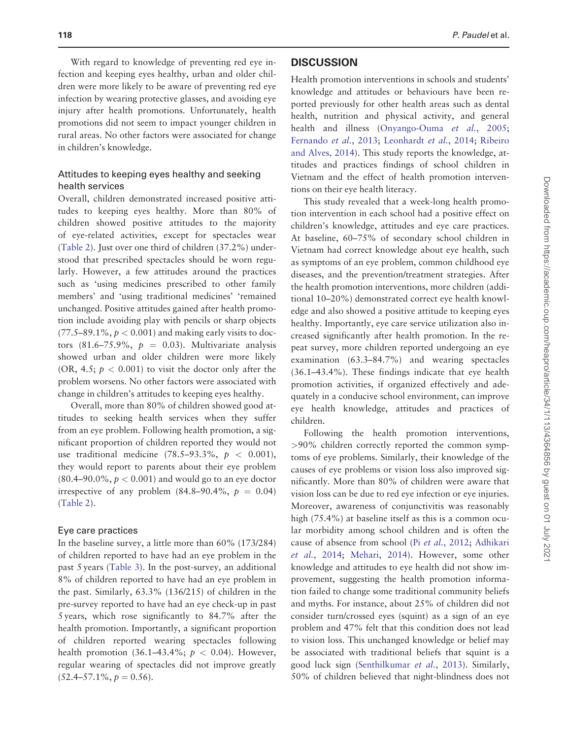With regard to knowledge of preventing red eye infection and keeping eyes healthy, urban and older children were more likely to be aware of preventing red eye infection by wearing protective glasses, and avoiding eye injury after health promotions. Unfortunately, health promotions did not seem to impact younger children in rural areas. No other factors were associated for change in children's knowledge.

## Attitudes to keeping eyes healthy and seeking health services

Overall, children demonstrated increased positive attitudes to keeping eyes healthy. More than 80% of children showed positive attitudes to the majority of eye-related activities, except for spectacles wear [\(Table 2](#page-6-0)). Just over one third of children (37.2%) understood that prescribed spectacles should be worn regularly. However, a few attitudes around the practices such as 'using medicines prescribed to other family members' and 'using traditional medicines' 'remained unchanged. Positive attitudes gained after health promotion include avoiding play with pencils or sharp objects  $(77.5-89.1\%, p < 0.001)$  and making early visits to doctors (81.6–75.9%,  $p = 0.03$ ). Multivariate analysis showed urban and older children were more likely (OR, 4.5;  $p < 0.001$ ) to visit the doctor only after the problem worsens. No other factors were associated with change in children's attitudes to keeping eyes healthy.

Overall, more than 80% of children showed good attitudes to seeking health services when they suffer from an eye problem. Following health promotion, a significant proportion of children reported they would not use traditional medicine  $(78.5-93.3\%, p < 0.001)$ , they would report to parents about their eye problem  $(80.4–90.0\%, p < 0.001)$  and would go to an eye doctor irrespective of any problem  $(84.8-90.4\%, p = 0.04)$ [\(Table 2](#page-6-0)).

#### Eye care practices

In the baseline survey, a little more than 60% (173/284) of children reported to have had an eye problem in the past 5 years [\(Table 3\)](#page-6-0). In the post-survey, an additional 8% of children reported to have had an eye problem in the past. Similarly, 63.3% (136/215) of children in the pre-survey reported to have had an eye check-up in past 5 years, which rose significantly to 84.7% after the health promotion. Importantly, a significant proportion of children reported wearing spectacles following health promotion (36.1–43.4%;  $p < 0.04$ ). However, regular wearing of spectacles did not improve greatly  $(52.4 - 57.1\%, p = 0.56).$ 

# **DISCUSSION**

Health promotion interventions in schools and students' knowledge and attitudes or behaviours have been reported previously for other health areas such as dental health, nutrition and physical activity, and general health and illness ([Onyango-Ouma](#page-8-0) et al., 2005; [Fernando](#page-8-0) et al., 2013; [Leonhardt](#page-8-0) et al., 2014; [Ribeiro](#page-9-0) [and Alves, 2014\)](#page-9-0). This study reports the knowledge, attitudes and practices findings of school children in Vietnam and the effect of health promotion interventions on their eye health literacy.

This study revealed that a week-long health promotion intervention in each school had a positive effect on children's knowledge, attitudes and eye care practices. At baseline, 60–75% of secondary school children in Vietnam had correct knowledge about eye health, such as symptoms of an eye problem, common childhood eye diseases, and the prevention/treatment strategies. After the health promotion interventions, more children (additional 10–20%) demonstrated correct eye health knowledge and also showed a positive attitude to keeping eyes healthy. Importantly, eye care service utilization also increased significantly after health promotion. In the repeat survey, more children reported undergoing an eye examination (63.3–84.7%) and wearing spectacles (36.1–43.4%). These findings indicate that eye health promotion activities, if organized effectively and adequately in a conducive school environment, can improve eye health knowledge, attitudes and practices of children.

Following the health promotion interventions, >90% children correctly reported the common symptoms of eye problems. Similarly, their knowledge of the causes of eye problems or vision loss also improved significantly. More than 80% of children were aware that vision loss can be due to red eye infection or eye injuries. Moreover, awareness of conjunctivitis was reasonably high (75.4%) at baseline itself as this is a common ocular morbidity among school children and is often the cause of absence from school (Pi et al.[, 2012;](#page-9-0) [Adhikari](#page-8-0) et al.[, 2014;](#page-8-0) [Mehari, 2014](#page-8-0)). However, some other knowledge and attitudes to eye health did not show improvement, suggesting the health promotion information failed to change some traditional community beliefs and myths. For instance, about 25% of children did not consider turn/crossed eyes (squint) as a sign of an eye problem and 47% felt that this condition does not lead to vision loss. This unchanged knowledge or belief may be associated with traditional beliefs that squint is a good luck sign [\(Senthilkumar](#page-9-0) et al., 2013). Similarly, 50% of children believed that night-blindness does not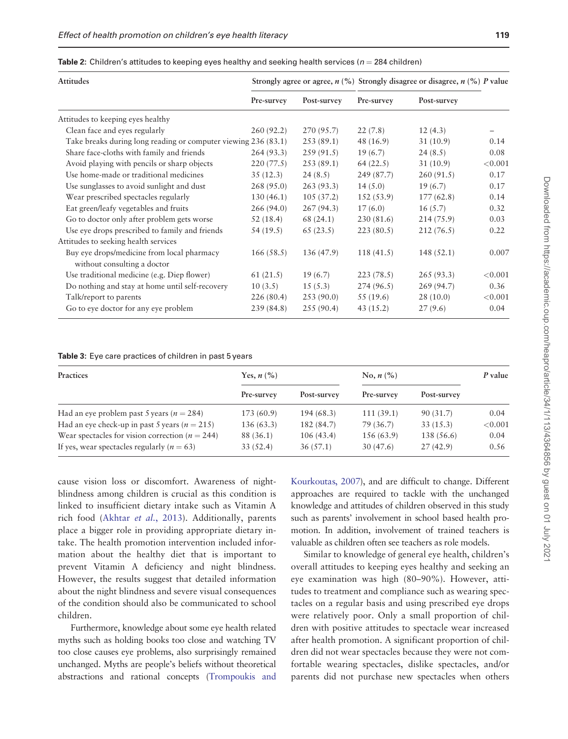<span id="page-6-0"></span>Table 2: Children's attitudes to keeping eyes healthy and seeking health services ( $n = 284$  children)

| Attitudes                                                                 |            |             | Strongly agree or agree, $n$ (%) Strongly disagree or disagree, $n$ (%) P value |             |         |
|---------------------------------------------------------------------------|------------|-------------|---------------------------------------------------------------------------------|-------------|---------|
|                                                                           | Pre-survey | Post-survey | Pre-survey                                                                      | Post-survey |         |
| Attitudes to keeping eyes healthy                                         |            |             |                                                                                 |             |         |
| Clean face and eyes regularly                                             | 260(92.2)  | 270 (95.7)  | 22(7.8)                                                                         | 12(4.3)     |         |
| Take breaks during long reading or computer viewing 236 (83.1)            |            | 253(89.1)   | 48 (16.9)                                                                       | 31(10.9)    | 0.14    |
| Share face-cloths with family and friends                                 | 264(93.3)  | 259(91.5)   | 19(6.7)                                                                         | 24(8.5)     | 0.08    |
| Avoid playing with pencils or sharp objects                               | 220(77.5)  | 253(89.1)   | 64(22.5)                                                                        | 31(10.9)    | < 0.001 |
| Use home-made or traditional medicines                                    | 35(12.3)   | 24(8.5)     | 249 (87.7)                                                                      | 260(91.5)   | 0.17    |
| Use sunglasses to avoid sunlight and dust                                 | 268(95.0)  | 263(93.3)   | 14(5.0)                                                                         | 19(6.7)     | 0.17    |
| Wear prescribed spectacles regularly                                      | 130(46.1)  | 105(37.2)   | 152(53.9)                                                                       | 177(62.8)   | 0.14    |
| Eat green/leafy vegetables and fruits                                     | 266(94.0)  | 267(94.3)   | 17(6.0)                                                                         | 16(5.7)     | 0.32    |
| Go to doctor only after problem gets worse                                | 52(18.4)   | 68 (24.1)   | 230(81.6)                                                                       | 214(75.9)   | 0.03    |
| Use eye drops prescribed to family and friends                            | 54 (19.5)  | 65(23.5)    | 223(80.5)                                                                       | 212(76.5)   | 0.22    |
| Attitudes to seeking health services                                      |            |             |                                                                                 |             |         |
| Buy eye drops/medicine from local pharmacy<br>without consulting a doctor | 166(58.5)  | 136 (47.9)  | 118(41.5)                                                                       | 148(52.1)   | 0.007   |
| Use traditional medicine (e.g. Diep flower)                               | 61(21.5)   | 19(6.7)     | 223(78.5)                                                                       | 265(93.3)   | < 0.001 |
| Do nothing and stay at home until self-recovery                           | 10(3.5)    | 15(5.3)     | 274(96.5)                                                                       | 269(94.7)   | 0.36    |
| Talk/report to parents                                                    | 226(80.4)  | 253(90.0)   | 55 (19.6)                                                                       | 28(10.0)    | < 0.001 |
| Go to eye doctor for any eye problem                                      | 239(84.8)  | 255(90.4)   | 43(15.2)                                                                        | 27(9.6)     | 0.04    |

Table 3: Eye care practices of children in past 5 years

| Practices                                           | Yes, $n\ (\%)$ |             | No, $n\left(\frac{9}{6}\right)$ |             | P value |
|-----------------------------------------------------|----------------|-------------|---------------------------------|-------------|---------|
|                                                     | Pre-survey     | Post-survey | Pre-survey                      | Post-survey |         |
| Had an eye problem past 5 years ( $n = 284$ )       | 173(60.9)      | 194 (68.3)  | 111(39.1)                       | 90 (31.7)   | 0.04    |
| Had an eye check-up in past 5 years ( $n = 215$ )   | 136(63.3)      | 182 (84.7)  | 79 (36.7)                       | 33(15.3)    | < 0.001 |
| Wear spectacles for vision correction ( $n = 244$ ) | 88 (36.1)      | 106(43.4)   | 156 (63.9)                      | 138 (56.6)  | 0.04    |
| If yes, wear spectacles regularly $(n = 63)$        | 33(52.4)       | 36(57.1)    | 30(47.6)                        | 27(42.9)    | 0.56    |

cause vision loss or discomfort. Awareness of nightblindness among children is crucial as this condition is linked to insufficient dietary intake such as Vitamin A rich food ([Akhtar](#page-8-0) et al., 2013). Additionally, parents place a bigger role in providing appropriate dietary intake. The health promotion intervention included information about the healthy diet that is important to prevent Vitamin A deficiency and night blindness. However, the results suggest that detailed information about the night blindness and severe visual consequences of the condition should also be communicated to school children.

Furthermore, knowledge about some eye health related myths such as holding books too close and watching TV too close causes eye problems, also surprisingly remained unchanged. Myths are people's beliefs without theoretical abstractions and rational concepts [\(Trompoukis and](#page-9-0) [Kourkoutas, 2007\)](#page-9-0), and are difficult to change. Different approaches are required to tackle with the unchanged knowledge and attitudes of children observed in this study such as parents' involvement in school based health promotion. In addition, involvement of trained teachers is valuable as children often see teachers as role models.

Similar to knowledge of general eye health, children's overall attitudes to keeping eyes healthy and seeking an eye examination was high (80–90%). However, attitudes to treatment and compliance such as wearing spectacles on a regular basis and using prescribed eye drops were relatively poor. Only a small proportion of children with positive attitudes to spectacle wear increased after health promotion. A significant proportion of children did not wear spectacles because they were not comfortable wearing spectacles, dislike spectacles, and/or parents did not purchase new spectacles when others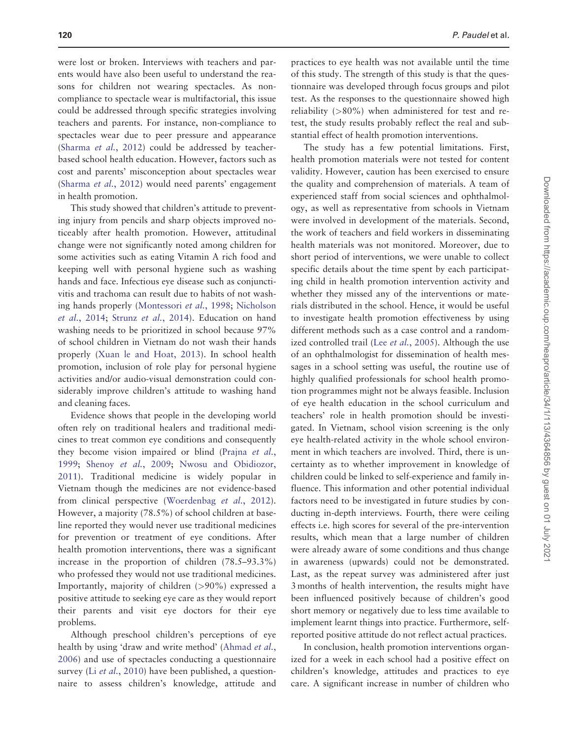were lost or broken. Interviews with teachers and parents would have also been useful to understand the reasons for children not wearing spectacles. As noncompliance to spectacle wear is multifactorial, this issue could be addressed through specific strategies involving teachers and parents. For instance, non-compliance to spectacles wear due to peer pressure and appearance [\(Sharma](#page-9-0) et al., 2012) could be addressed by teacherbased school health education. However, factors such as cost and parents' misconception about spectacles wear [\(Sharma](#page-9-0) et al., 2012) would need parents' engagement in health promotion.

This study showed that children's attitude to preventing injury from pencils and sharp objects improved noticeably after health promotion. However, attitudinal change were not significantly noted among children for some activities such as eating Vitamin A rich food and keeping well with personal hygiene such as washing hands and face. Infectious eye disease such as conjunctivitis and trachoma can result due to habits of not washing hands properly [\(Montessori](#page-8-0) et al., 1998; [Nicholson](#page-8-0) et al.[, 2014](#page-8-0); Strunz et al.[, 2014](#page-9-0)). Education on hand washing needs to be prioritized in school because 97% of school children in Vietnam do not wash their hands properly ([Xuan le and Hoat, 2013](#page-9-0)). In school health promotion, inclusion of role play for personal hygiene activities and/or audio-visual demonstration could considerably improve children's attitude to washing hand and cleaning faces.

Evidence shows that people in the developing world often rely on traditional healers and traditional medicines to treat common eye conditions and consequently they become vision impaired or blind ([Prajna](#page-9-0) et al., [1999](#page-9-0); Shenoy et al.[, 2009](#page-9-0); [Nwosu and Obidiozor,](#page-8-0) [2011](#page-8-0)). Traditional medicine is widely popular in Vietnam though the medicines are not evidence-based from clinical perspective [\(Woerdenbag](#page-9-0) et al., 2012). However, a majority (78.5%) of school children at baseline reported they would never use traditional medicines for prevention or treatment of eye conditions. After health promotion interventions, there was a significant increase in the proportion of children (78.5–93.3%) who professed they would not use traditional medicines. Importantly, majority of children (>90%) expressed a positive attitude to seeking eye care as they would report their parents and visit eye doctors for their eye problems.

Although preschool children's perceptions of eye health by using 'draw and write method' ([Ahmad](#page-8-0) et al., [2006](#page-8-0)) and use of spectacles conducting a questionnaire survey (Li et al.[, 2010](#page-8-0)) have been published, a questionnaire to assess children's knowledge, attitude and practices to eye health was not available until the time of this study. The strength of this study is that the questionnaire was developed through focus groups and pilot test. As the responses to the questionnaire showed high reliability (>80%) when administered for test and retest, the study results probably reflect the real and substantial effect of health promotion interventions.

The study has a few potential limitations. First, health promotion materials were not tested for content validity. However, caution has been exercised to ensure the quality and comprehension of materials. A team of experienced staff from social sciences and ophthalmology, as well as representative from schools in Vietnam were involved in development of the materials. Second, the work of teachers and field workers in disseminating health materials was not monitored. Moreover, due to short period of interventions, we were unable to collect specific details about the time spent by each participating child in health promotion intervention activity and whether they missed any of the interventions or materials distributed in the school. Hence, it would be useful to investigate health promotion effectiveness by using different methods such as a case control and a random-ized controlled trail (Lee et al.[, 2005](#page-8-0)). Although the use of an ophthalmologist for dissemination of health messages in a school setting was useful, the routine use of highly qualified professionals for school health promotion programmes might not be always feasible. Inclusion of eye health education in the school curriculum and teachers' role in health promotion should be investigated. In Vietnam, school vision screening is the only eye health-related activity in the whole school environment in which teachers are involved. Third, there is uncertainty as to whether improvement in knowledge of children could be linked to self-experience and family influence. This information and other potential individual factors need to be investigated in future studies by conducting in-depth interviews. Fourth, there were ceiling effects i.e. high scores for several of the pre-intervention results, which mean that a large number of children were already aware of some conditions and thus change in awareness (upwards) could not be demonstrated. Last, as the repeat survey was administered after just 3 months of health intervention, the results might have been influenced positively because of children's good short memory or negatively due to less time available to implement learnt things into practice. Furthermore, selfreported positive attitude do not reflect actual practices.

In conclusion, health promotion interventions organized for a week in each school had a positive effect on children's knowledge, attitudes and practices to eye care. A significant increase in number of children who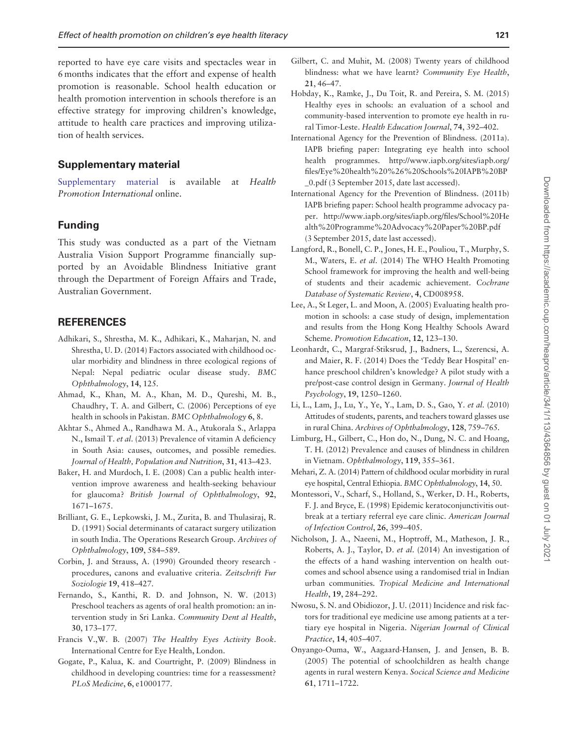<span id="page-8-0"></span>reported to have eye care visits and spectacles wear in 6 months indicates that the effort and expense of health promotion is reasonable. School health education or health promotion intervention in schools therefore is an effective strategy for improving children's knowledge, attitude to health care practices and improving utilization of health services.

## Supplementary material

[Supplementary material](https://academic.oup.com/heapro/article-lookup/doi/10.1093/heapro/dax065#supplementary-data) is available at Health Promotion International online.

# Funding

This study was conducted as a part of the Vietnam Australia Vision Support Programme financially supported by an Avoidable Blindness Initiative grant through the Department of Foreign Affairs and Trade, Australian Government.

## **REFERENCES**

- Adhikari, S., Shrestha, M. K., Adhikari, K., Maharjan, N. and Shrestha, U. D. (2014) Factors associated with childhood ocular morbidity and blindness in three ecological regions of Nepal: Nepal pediatric ocular disease study. BMC Ophthalmology, 14, 125.
- Ahmad, K., Khan, M. A., Khan, M. D., Qureshi, M. B., Chaudhry, T. A. and Gilbert, C. (2006) Perceptions of eye health in schools in Pakistan. BMC Ophthalmology 6, 8.
- Akhtar S., Ahmed A., Randhawa M. A., Atukorala S., Arlappa N., Ismail T. et al. (2013) Prevalence of vitamin A deficiency in South Asia: causes, outcomes, and possible remedies. Journal of Health, Population and Nutrition, 31, 413–423.
- Baker, H. and Murdoch, I. E. (2008) Can a public health intervention improve awareness and health-seeking behaviour for glaucoma? British Journal of Ophthalmology, 92, 1671–1675.
- Brilliant, G. E., Lepkowski, J. M., Zurita, B. and Thulasiraj, R. D. (1991) Social determinants of cataract surgery utilization in south India. The Operations Research Group. Archives of Ophthalmology, 109, 584–589.
- Corbin, J. and Strauss, A. (1990) Grounded theory research procedures, canons and evaluative criteria. Zeitschrift Fur Soziologie 19, 418–427.
- Fernando, S., Kanthi, R. D. and Johnson, N. W. (2013) Preschool teachers as agents of oral health promotion: an intervention study in Sri Lanka. Community Dent al Health, 30, 173–177.
- Francis V.,W. B. (2007) The Healthy Eyes Activity Book. International Centre for Eye Health, London.
- Gogate, P., Kalua, K. and Courtright, P. (2009) Blindness in childhood in developing countries: time for a reassessment? PLoS Medicine, 6, e1000177.
- Gilbert, C. and Muhit, M. (2008) Twenty years of childhood blindness: what we have learnt? Community Eye Health, 21, 46–47.
- Hobday, K., Ramke, J., Du Toit, R. and Pereira, S. M. (2015) Healthy eyes in schools: an evaluation of a school and community-based intervention to promote eye health in rural Timor-Leste. Health Education Journal, 74, 392–402.
- International Agency for the Prevention of Blindness. (2011a). IAPB briefing paper: Integrating eye health into school health programmes. [http://www.iapb.org/sites/iapb.org/](http://www.iapb.org/sites/iapb.org/files/Eye%20health%20%26%20Schools%20IAPB%20BP_0.pdf) [files/Eye%20health%20%26](http://www.iapb.org/sites/iapb.org/files/Eye%20health%20%26%20Schools%20IAPB%20BP_0.pdf)%[20Schools%20IAPB](http://www.iapb.org/sites/iapb.org/files/Eye%20health%20%26%20Schools%20IAPB%20BP_0.pdf)%[20BP](http://www.iapb.org/sites/iapb.org/files/Eye%20health%20%26%20Schools%20IAPB%20BP_0.pdf) [\\_0.pdf](http://www.iapb.org/sites/iapb.org/files/Eye%20health%20%26%20Schools%20IAPB%20BP_0.pdf) (3 September 2015, date last accessed).
- International Agency for the Prevention of Blindness. (2011b) IAPB briefing paper: School health programme advocacy paper. [http://www.iapb.org/sites/iapb.org/files/School](http://www.iapb.org/sites/iapb.org/files/School%20Health%20Programme%20Advocacy%20Paper%20BP.pdf)%[20He](http://www.iapb.org/sites/iapb.org/files/School%20Health%20Programme%20Advocacy%20Paper%20BP.pdf) [alth](http://www.iapb.org/sites/iapb.org/files/School%20Health%20Programme%20Advocacy%20Paper%20BP.pdf)%[20Programme](http://www.iapb.org/sites/iapb.org/files/School%20Health%20Programme%20Advocacy%20Paper%20BP.pdf)%[20Advocacy%20Paper%20BP.pdf](http://www.iapb.org/sites/iapb.org/files/School%20Health%20Programme%20Advocacy%20Paper%20BP.pdf) (3 September 2015, date last accessed).
- Langford, R., Bonell, C. P., Jones, H. E., Pouliou, T., Murphy, S. M., Waters, E. et al. (2014) The WHO Health Promoting School framework for improving the health and well-being of students and their academic achievement. Cochrane Database of Systematic Review, 4, CD008958.
- Lee, A., St Leger, L. and Moon, A. (2005) Evaluating health promotion in schools: a case study of design, implementation and results from the Hong Kong Healthy Schools Award Scheme. Promotion Education, 12, 123–130.
- Leonhardt, C., Margraf-Stiksrud, J., Badners, L., Szerencsi, A. and Maier, R. F. (2014) Does the 'Teddy Bear Hospital' enhance preschool children's knowledge? A pilot study with a pre/post-case control design in Germany. Journal of Health Psychology, 19, 1250–1260.
- Li, L., Lam, J., Lu, Y., Ye, Y., Lam, D. S., Gao, Y. et al. (2010) Attitudes of students, parents, and teachers toward glasses use in rural China. Archives of Ophthalmology, 128, 759–765.
- Limburg, H., Gilbert, C., Hon do, N., Dung, N. C. and Hoang, T. H. (2012) Prevalence and causes of blindness in children in Vietnam. Ophthalmology, 119, 355–361.
- Mehari, Z. A. (2014) Pattern of childhood ocular morbidity in rural eye hospital, Central Ethiopia. BMC Ophthalmology, 14, 50.
- Montessori, V., Scharf, S., Holland, S., Werker, D. H., Roberts, F. J. and Bryce, E. (1998) Epidemic keratoconjunctivitis outbreak at a tertiary referral eye care clinic. American Journal of Infection Control, 26, 399–405.
- Nicholson, J. A., Naeeni, M., Hoptroff, M., Matheson, J. R., Roberts, A. J., Taylor, D. et al. (2014) An investigation of the effects of a hand washing intervention on health outcomes and school absence using a randomised trial in Indian urban communities. Tropical Medicine and International Health, 19, 284–292.
- Nwosu, S. N. and Obidiozor, J. U. (2011) Incidence and risk factors for traditional eye medicine use among patients at a tertiary eye hospital in Nigeria. Nigerian Journal of Clinical Practice, 14, 405–407.
- Onyango-Ouma, W., Aagaard-Hansen, J. and Jensen, B. B. (2005) The potential of schoolchildren as health change agents in rural western Kenya. Socical Science and Medicine 61, 1711–1722.